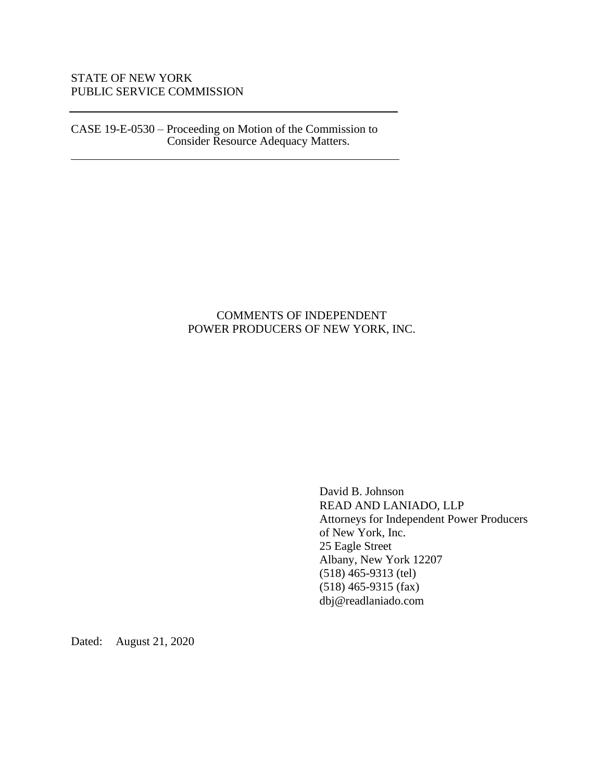## STATE OF NEW YORK PUBLIC SERVICE COMMISSION

CASE 19-E-0530 – Proceeding on Motion of the Commission to Consider Resource Adequacy Matters.

### COMMENTS OF INDEPENDENT POWER PRODUCERS OF NEW YORK, INC.

David B. Johnson READ AND LANIADO, LLP Attorneys for Independent Power Producers of New York, Inc. 25 Eagle Street Albany, New York 12207 (518) 465-9313 (tel) (518) 465-9315 (fax) dbj@readlaniado.com

Dated: August 21, 2020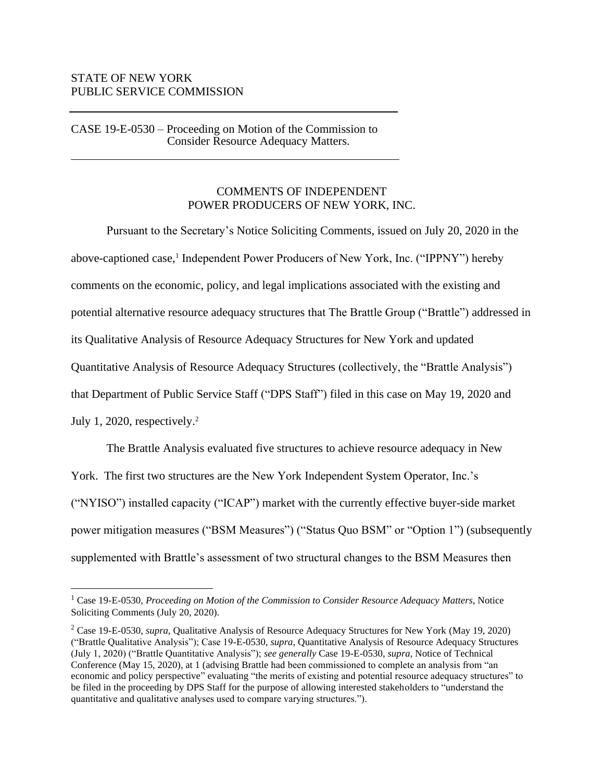#### STATE OF NEW YORK PUBLIC SERVICE COMMISSION

CASE 19-E-0530 – Proceeding on Motion of the Commission to Consider Resource Adequacy Matters.

# COMMENTS OF INDEPENDENT POWER PRODUCERS OF NEW YORK, INC.

Pursuant to the Secretary's Notice Soliciting Comments, issued on July 20, 2020 in the above-captioned case,<sup>1</sup> Independent Power Producers of New York, Inc. ("IPPNY") hereby comments on the economic, policy, and legal implications associated with the existing and potential alternative resource adequacy structures that The Brattle Group ("Brattle") addressed in its Qualitative Analysis of Resource Adequacy Structures for New York and updated Quantitative Analysis of Resource Adequacy Structures (collectively, the "Brattle Analysis") that Department of Public Service Staff ("DPS Staff") filed in this case on May 19, 2020 and July 1, 2020, respectively. $2$ 

The Brattle Analysis evaluated five structures to achieve resource adequacy in New York. The first two structures are the New York Independent System Operator, Inc.'s ("NYISO") installed capacity ("ICAP") market with the currently effective buyer-side market power mitigation measures ("BSM Measures") ("Status Quo BSM" or "Option 1") (subsequently supplemented with Brattle's assessment of two structural changes to the BSM Measures then

<sup>&</sup>lt;sup>1</sup> Case 19-E-0530, Proceeding on Motion of the Commission to Consider Resource Adequacy Matters, Notice Soliciting Comments (July 20, 2020).

<sup>2</sup> Case 19-E-0530, *supra*, Qualitative Analysis of Resource Adequacy Structures for New York (May 19, 2020) ("Brattle Qualitative Analysis"); Case 19-E-0530, *supra*, Quantitative Analysis of Resource Adequacy Structures (July 1, 2020) ("Brattle Quantitative Analysis"); *see generally* Case 19-E-0530, *supra*, Notice of Technical Conference (May 15, 2020), at 1 (advising Brattle had been commissioned to complete an analysis from "an economic and policy perspective" evaluating "the merits of existing and potential resource adequacy structures" to be filed in the proceeding by DPS Staff for the purpose of allowing interested stakeholders to "understand the quantitative and qualitative analyses used to compare varying structures.").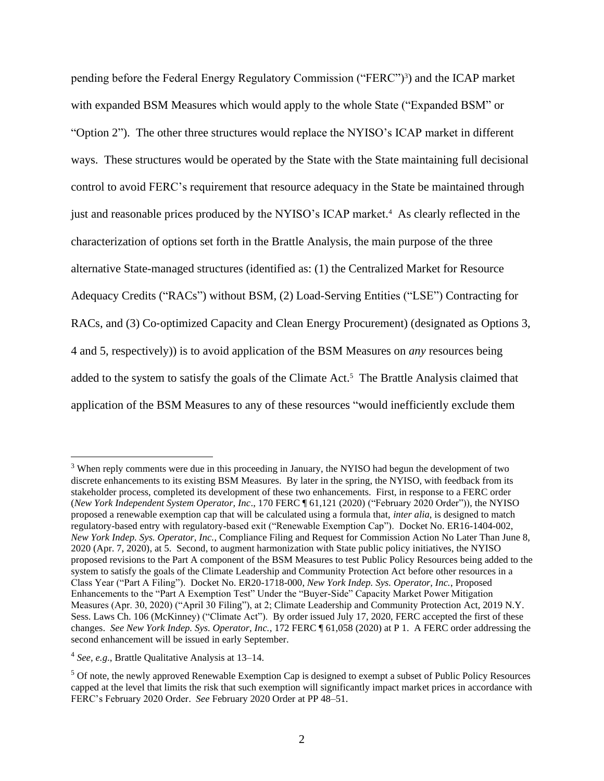pending before the Federal Energy Regulatory Commission ("FERC")<sup>3</sup>) and the ICAP market with expanded BSM Measures which would apply to the whole State ("Expanded BSM" or "Option 2"). The other three structures would replace the NYISO's ICAP market in different ways. These structures would be operated by the State with the State maintaining full decisional control to avoid FERC's requirement that resource adequacy in the State be maintained through just and reasonable prices produced by the NYISO's ICAP market. 4 As clearly reflected in the characterization of options set forth in the Brattle Analysis, the main purpose of the three alternative State-managed structures (identified as: (1) the Centralized Market for Resource Adequacy Credits ("RACs") without BSM, (2) Load-Serving Entities ("LSE") Contracting for RACs, and (3) Co-optimized Capacity and Clean Energy Procurement) (designated as Options 3, 4 and 5, respectively)) is to avoid application of the BSM Measures on *any* resources being added to the system to satisfy the goals of the Climate Act.<sup>5</sup> The Brattle Analysis claimed that application of the BSM Measures to any of these resources "would inefficiently exclude them

<sup>&</sup>lt;sup>3</sup> When reply comments were due in this proceeding in January, the NYISO had begun the development of two discrete enhancements to its existing BSM Measures. By later in the spring, the NYISO, with feedback from its stakeholder process, completed its development of these two enhancements. First, in response to a FERC order (*New York Independent System Operator, Inc*., 170 FERC ¶ 61,121 (2020) ("February 2020 Order")), the NYISO proposed a renewable exemption cap that will be calculated using a formula that, *inter alia*, is designed to match regulatory-based entry with regulatory-based exit ("Renewable Exemption Cap"). Docket No. ER16-1404-002, *New York Indep. Sys. Operator, Inc.*, Compliance Filing and Request for Commission Action No Later Than June 8, 2020 (Apr. 7, 2020), at 5. Second, to augment harmonization with State public policy initiatives, the NYISO proposed revisions to the Part A component of the BSM Measures to test Public Policy Resources being added to the system to satisfy the goals of the Climate Leadership and Community Protection Act before other resources in a Class Year ("Part A Filing"). Docket No. ER20-1718-000, *New York Indep. Sys. Operator, Inc.*, Proposed Enhancements to the "Part A Exemption Test" Under the "Buyer-Side" Capacity Market Power Mitigation Measures (Apr. 30, 2020) ("April 30 Filing"), at 2; Climate Leadership and Community Protection Act, 2019 N.Y. Sess. Laws Ch. 106 (McKinney) ("Climate Act"). By order issued July 17, 2020, FERC accepted the first of these changes. *See New York Indep. Sys. Operator, Inc.*, 172 FERC ¶ 61,058 (2020) at P 1. A FERC order addressing the second enhancement will be issued in early September.

<sup>4</sup> *See, e.g*., Brattle Qualitative Analysis at 13–14.

<sup>5</sup> Of note, the newly approved Renewable Exemption Cap is designed to exempt a subset of Public Policy Resources capped at the level that limits the risk that such exemption will significantly impact market prices in accordance with FERC's February 2020 Order. *See* February 2020 Order at PP 48–51.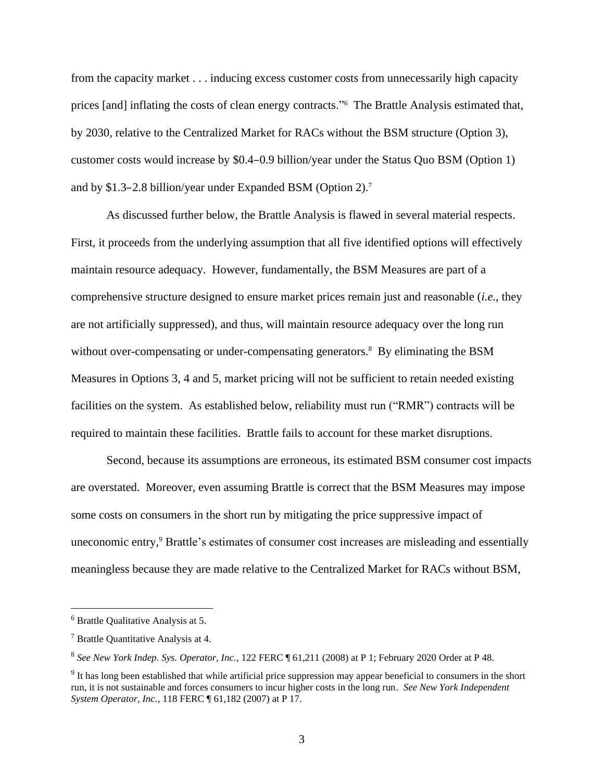from the capacity market . . . inducing excess customer costs from unnecessarily high capacity prices [and] inflating the costs of clean energy contracts."<sup>6</sup> The Brattle Analysis estimated that, by 2030, relative to the Centralized Market for RACs without the BSM structure (Option 3), customer costs would increase by \$0.4–0.9 billion/year under the Status Quo BSM (Option 1) and by \$1.3–2.8 billion/year under Expanded BSM (Option 2). 7

As discussed further below, the Brattle Analysis is flawed in several material respects. First, it proceeds from the underlying assumption that all five identified options will effectively maintain resource adequacy. However, fundamentally, the BSM Measures are part of a comprehensive structure designed to ensure market prices remain just and reasonable (*i.e.*, they are not artificially suppressed), and thus, will maintain resource adequacy over the long run without over-compensating or under-compensating generators.<sup>8</sup> By eliminating the BSM Measures in Options 3, 4 and 5, market pricing will not be sufficient to retain needed existing facilities on the system. As established below, reliability must run ("RMR") contracts will be required to maintain these facilities. Brattle fails to account for these market disruptions.

Second, because its assumptions are erroneous, its estimated BSM consumer cost impacts are overstated. Moreover, even assuming Brattle is correct that the BSM Measures may impose some costs on consumers in the short run by mitigating the price suppressive impact of uneconomic entry, <sup>9</sup> Brattle's estimates of consumer cost increases are misleading and essentially meaningless because they are made relative to the Centralized Market for RACs without BSM,

<sup>6</sup> Brattle Qualitative Analysis at 5.

<sup>7</sup> Brattle Quantitative Analysis at 4.

<sup>8</sup> *See New York Indep. Sys. Operator, Inc.*, 122 FERC ¶ 61,211 (2008) at P 1; February 2020 Order at P 48.

<sup>&</sup>lt;sup>9</sup> It has long been established that while artificial price suppression may appear beneficial to consumers in the short run, it is not sustainable and forces consumers to incur higher costs in the long run. *See New York Independent System Operator, Inc.*, 118 FERC ¶ 61,182 (2007) at P 17.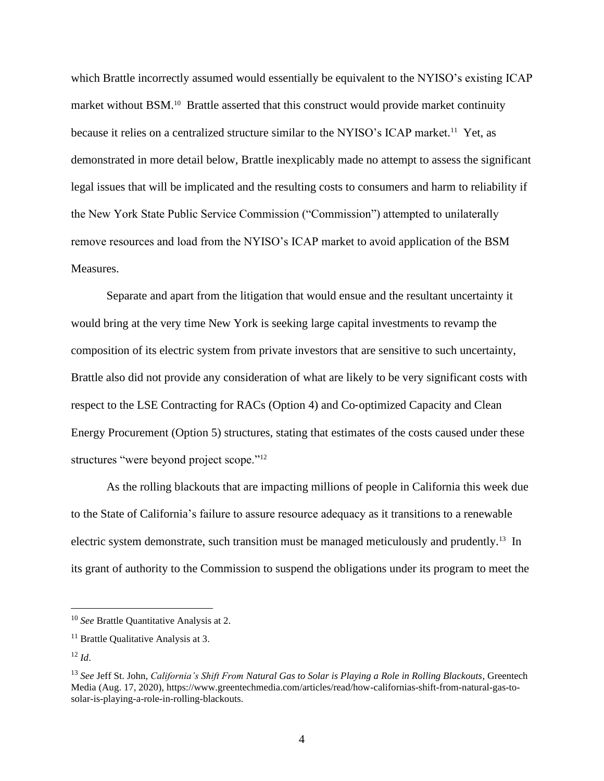which Brattle incorrectly assumed would essentially be equivalent to the NYISO's existing ICAP market without BSM.<sup>10</sup> Brattle asserted that this construct would provide market continuity because it relies on a centralized structure similar to the NYISO's ICAP market.<sup>11</sup> Yet, as demonstrated in more detail below, Brattle inexplicably made no attempt to assess the significant legal issues that will be implicated and the resulting costs to consumers and harm to reliability if the New York State Public Service Commission ("Commission") attempted to unilaterally remove resources and load from the NYISO's ICAP market to avoid application of the BSM Measures.

Separate and apart from the litigation that would ensue and the resultant uncertainty it would bring at the very time New York is seeking large capital investments to revamp the composition of its electric system from private investors that are sensitive to such uncertainty, Brattle also did not provide any consideration of what are likely to be very significant costs with respect to the LSE Contracting for RACs (Option 4) and Co-optimized Capacity and Clean Energy Procurement (Option 5) structures, stating that estimates of the costs caused under these structures "were beyond project scope."<sup>12</sup>

As the rolling blackouts that are impacting millions of people in California this week due to the State of California's failure to assure resource adequacy as it transitions to a renewable electric system demonstrate, such transition must be managed meticulously and prudently.<sup>13</sup> In its grant of authority to the Commission to suspend the obligations under its program to meet the

<sup>10</sup> *See* Brattle Quantitative Analysis at 2.

<sup>&</sup>lt;sup>11</sup> Brattle Qualitative Analysis at 3.

<sup>12</sup> *Id*.

<sup>13</sup> *See* Jeff St. John, *California's Shift From Natural Gas to Solar is Playing a Role in Rolling Blackouts*, Greentech Media (Aug. 17, 2020), https://www.greentechmedia.com/articles/read/how-californias-shift-from-natural-gas-tosolar-is-playing-a-role-in-rolling-blackouts.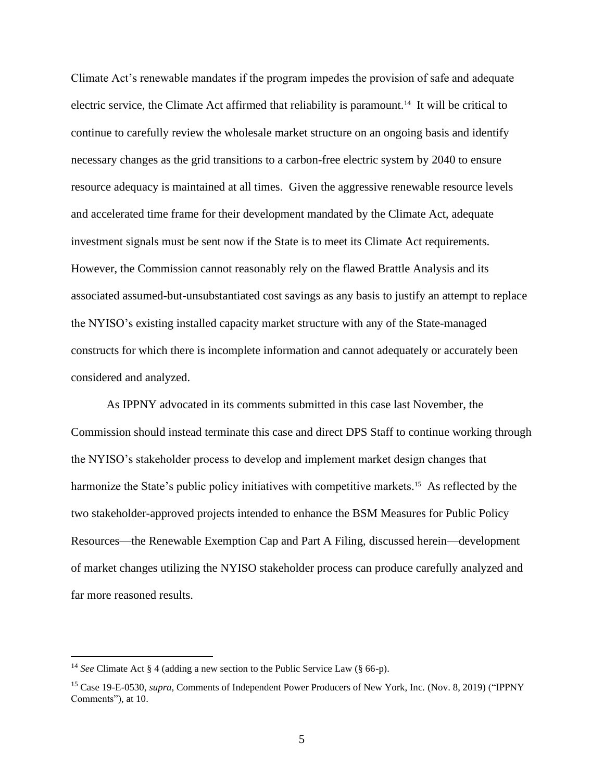Climate Act's renewable mandates if the program impedes the provision of safe and adequate electric service, the Climate Act affirmed that reliability is paramount.<sup>14</sup> It will be critical to continue to carefully review the wholesale market structure on an ongoing basis and identify necessary changes as the grid transitions to a carbon-free electric system by 2040 to ensure resource adequacy is maintained at all times. Given the aggressive renewable resource levels and accelerated time frame for their development mandated by the Climate Act, adequate investment signals must be sent now if the State is to meet its Climate Act requirements. However, the Commission cannot reasonably rely on the flawed Brattle Analysis and its associated assumed-but-unsubstantiated cost savings as any basis to justify an attempt to replace the NYISO's existing installed capacity market structure with any of the State-managed constructs for which there is incomplete information and cannot adequately or accurately been considered and analyzed.

As IPPNY advocated in its comments submitted in this case last November, the Commission should instead terminate this case and direct DPS Staff to continue working through the NYISO's stakeholder process to develop and implement market design changes that harmonize the State's public policy initiatives with competitive markets.<sup>15</sup> As reflected by the two stakeholder-approved projects intended to enhance the BSM Measures for Public Policy Resources—the Renewable Exemption Cap and Part A Filing, discussed herein—development of market changes utilizing the NYISO stakeholder process can produce carefully analyzed and far more reasoned results.

<sup>14</sup> *See* Climate Act § 4 (adding a new section to the Public Service Law (§ 66-p).

<sup>15</sup> Case 19-E-0530, *supra*, Comments of Independent Power Producers of New York, Inc. (Nov. 8, 2019) ("IPPNY Comments"), at 10.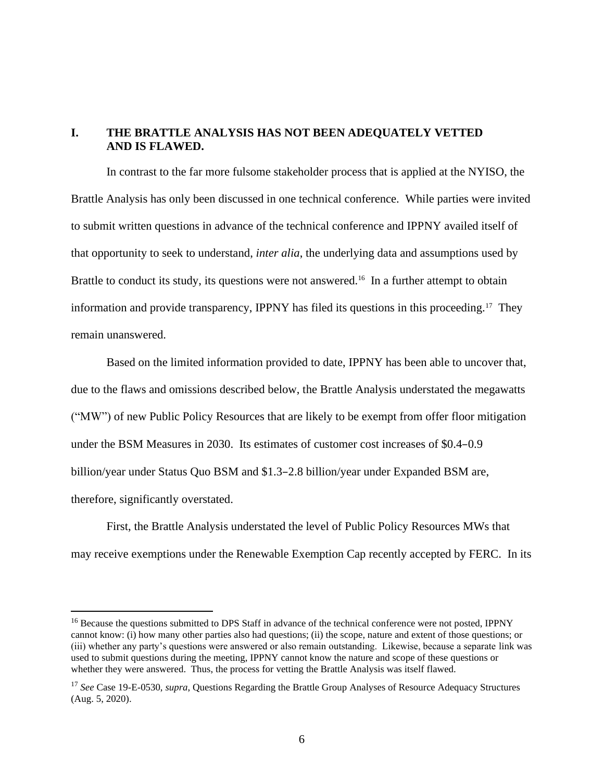#### **I. THE BRATTLE ANALYSIS HAS NOT BEEN ADEQUATELY VETTED AND IS FLAWED.**

In contrast to the far more fulsome stakeholder process that is applied at the NYISO, the Brattle Analysis has only been discussed in one technical conference. While parties were invited to submit written questions in advance of the technical conference and IPPNY availed itself of that opportunity to seek to understand, *inter alia*, the underlying data and assumptions used by Brattle to conduct its study, its questions were not answered.<sup>16</sup> In a further attempt to obtain information and provide transparency, IPPNY has filed its questions in this proceeding.<sup>17</sup> They remain unanswered.

Based on the limited information provided to date, IPPNY has been able to uncover that, due to the flaws and omissions described below, the Brattle Analysis understated the megawatts ("MW") of new Public Policy Resources that are likely to be exempt from offer floor mitigation under the BSM Measures in 2030. Its estimates of customer cost increases of \$0.4–0.9 billion/year under Status Quo BSM and \$1.3–2.8 billion/year under Expanded BSM are, therefore, significantly overstated.

First, the Brattle Analysis understated the level of Public Policy Resources MWs that may receive exemptions under the Renewable Exemption Cap recently accepted by FERC. In its

<sup>&</sup>lt;sup>16</sup> Because the questions submitted to DPS Staff in advance of the technical conference were not posted, IPPNY cannot know: (i) how many other parties also had questions; (ii) the scope, nature and extent of those questions; or (iii) whether any party's questions were answered or also remain outstanding. Likewise, because a separate link was used to submit questions during the meeting, IPPNY cannot know the nature and scope of these questions or whether they were answered. Thus, the process for vetting the Brattle Analysis was itself flawed.

<sup>17</sup> *See* Case 19-E-0530, *supra*, Questions Regarding the Brattle Group Analyses of Resource Adequacy Structures (Aug. 5, 2020).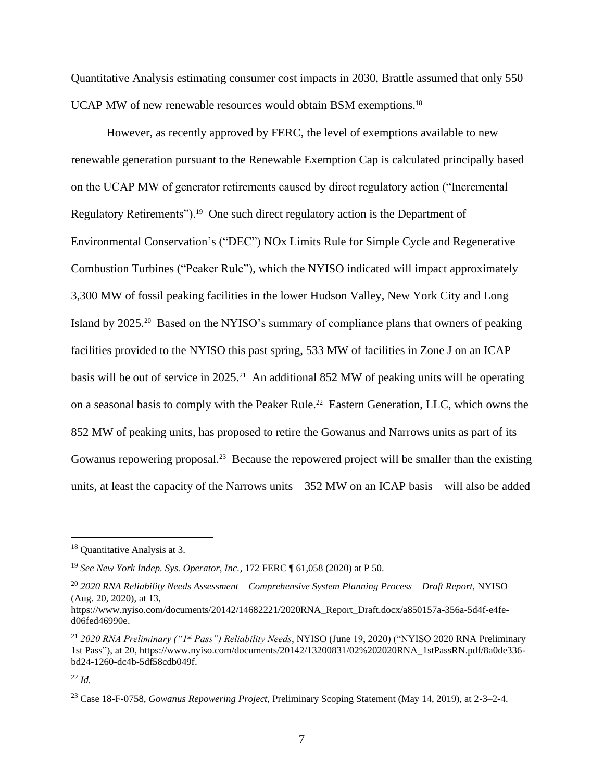Quantitative Analysis estimating consumer cost impacts in 2030, Brattle assumed that only 550 UCAP MW of new renewable resources would obtain BSM exemptions.<sup>18</sup>

However, as recently approved by FERC, the level of exemptions available to new renewable generation pursuant to the Renewable Exemption Cap is calculated principally based on the UCAP MW of generator retirements caused by direct regulatory action ("Incremental Regulatory Retirements").<sup>19</sup> One such direct regulatory action is the Department of Environmental Conservation's ("DEC") NOx Limits Rule for Simple Cycle and Regenerative Combustion Turbines ("Peaker Rule"), which the NYISO indicated will impact approximately 3,300 MW of fossil peaking facilities in the lower Hudson Valley, New York City and Long Island by 2025.<sup>20</sup> Based on the NYISO's summary of compliance plans that owners of peaking facilities provided to the NYISO this past spring, 533 MW of facilities in Zone J on an ICAP basis will be out of service in 2025.<sup>21</sup> An additional 852 MW of peaking units will be operating on a seasonal basis to comply with the Peaker Rule.<sup>22</sup> Eastern Generation, LLC, which owns the 852 MW of peaking units, has proposed to retire the Gowanus and Narrows units as part of its Gowanus repowering proposal.<sup>23</sup> Because the repowered project will be smaller than the existing units, at least the capacity of the Narrows units—352 MW on an ICAP basis—will also be added

<sup>18</sup> Quantitative Analysis at 3.

<sup>19</sup> *See New York Indep. Sys. Operator, Inc.*, 172 FERC ¶ 61,058 (2020) at P 50.

<sup>20</sup> *2020 RNA Reliability Needs Assessment – Comprehensive System Planning Process – Draft Report*, NYISO (Aug. 20, 2020), at 13,

https://www.nyiso.com/documents/20142/14682221/2020RNA\_Report\_Draft.docx/a850157a-356a-5d4f-e4fed06fed46990e.

<sup>21</sup> *2020 RNA Preliminary ("1st Pass") Reliability Needs*, NYISO (June 19, 2020) ("NYISO 2020 RNA Preliminary 1st Pass"), at 20, https://www.nyiso.com/documents/20142/13200831/02%202020RNA\_1stPassRN.pdf/8a0de336 bd24-1260-dc4b-5df58cdb049f.

<sup>22</sup> *Id.*

<sup>23</sup> Case 18-F-0758, *Gowanus Repowering Project*, Preliminary Scoping Statement (May 14, 2019), at 2-3–2-4.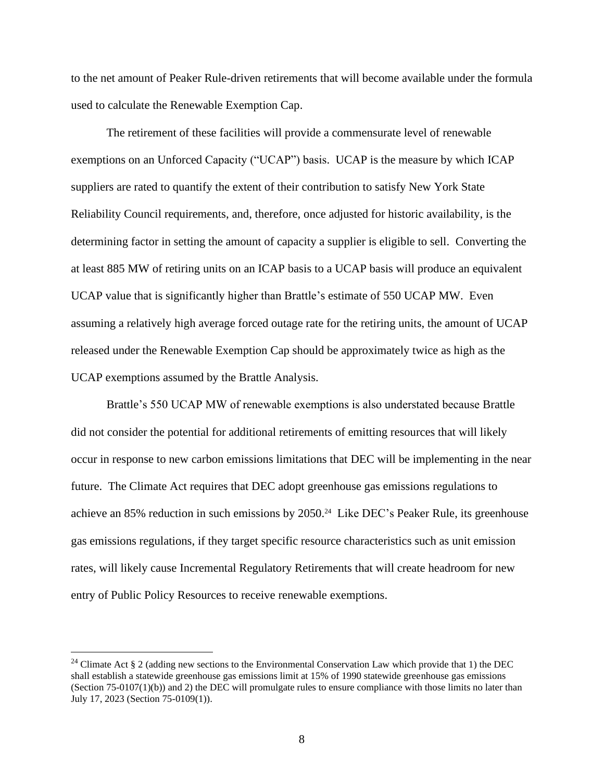to the net amount of Peaker Rule-driven retirements that will become available under the formula used to calculate the Renewable Exemption Cap.

The retirement of these facilities will provide a commensurate level of renewable exemptions on an Unforced Capacity ("UCAP") basis. UCAP is the measure by which ICAP suppliers are rated to quantify the extent of their contribution to satisfy New York State Reliability Council requirements, and, therefore, once adjusted for historic availability, is the determining factor in setting the amount of capacity a supplier is eligible to sell. Converting the at least 885 MW of retiring units on an ICAP basis to a UCAP basis will produce an equivalent UCAP value that is significantly higher than Brattle's estimate of 550 UCAP MW. Even assuming a relatively high average forced outage rate for the retiring units, the amount of UCAP released under the Renewable Exemption Cap should be approximately twice as high as the UCAP exemptions assumed by the Brattle Analysis.

Brattle's 550 UCAP MW of renewable exemptions is also understated because Brattle did not consider the potential for additional retirements of emitting resources that will likely occur in response to new carbon emissions limitations that DEC will be implementing in the near future. The Climate Act requires that DEC adopt greenhouse gas emissions regulations to achieve an 85% reduction in such emissions by 2050. 24 Like DEC's Peaker Rule, its greenhouse gas emissions regulations, if they target specific resource characteristics such as unit emission rates, will likely cause Incremental Regulatory Retirements that will create headroom for new entry of Public Policy Resources to receive renewable exemptions.

<sup>&</sup>lt;sup>24</sup> Climate Act § 2 (adding new sections to the Environmental Conservation Law which provide that 1) the DEC shall establish a statewide greenhouse gas emissions limit at 15% of 1990 statewide greenhouse gas emissions (Section  $75-0107(1)(b)$ ) and 2) the DEC will promulgate rules to ensure compliance with those limits no later than July 17, 2023 (Section 75-0109(1)).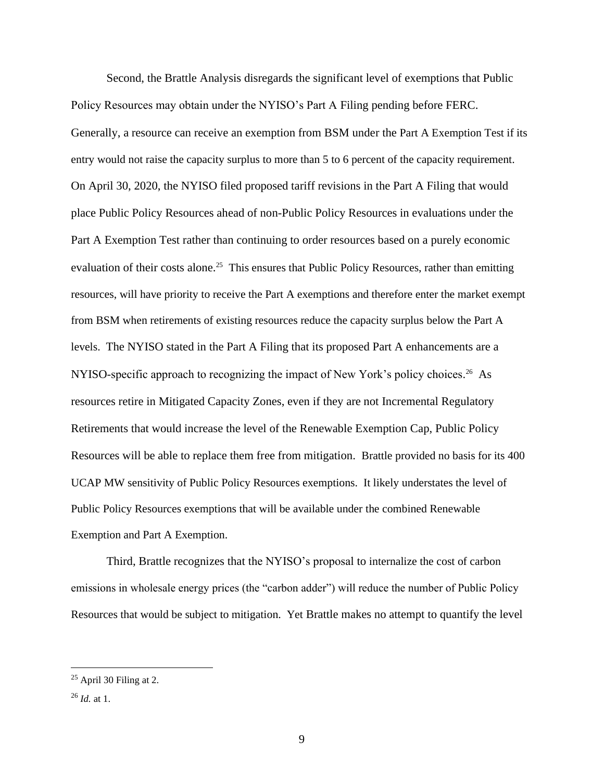Second, the Brattle Analysis disregards the significant level of exemptions that Public Policy Resources may obtain under the NYISO's Part A Filing pending before FERC. Generally, a resource can receive an exemption from BSM under the Part A Exemption Test if its entry would not raise the capacity surplus to more than 5 to 6 percent of the capacity requirement. On April 30, 2020, the NYISO filed proposed tariff revisions in the Part A Filing that would place Public Policy Resources ahead of non-Public Policy Resources in evaluations under the Part A Exemption Test rather than continuing to order resources based on a purely economic evaluation of their costs alone.<sup>25</sup> This ensures that Public Policy Resources, rather than emitting resources, will have priority to receive the Part A exemptions and therefore enter the market exempt from BSM when retirements of existing resources reduce the capacity surplus below the Part A levels. The NYISO stated in the Part A Filing that its proposed Part A enhancements are a NYISO-specific approach to recognizing the impact of New York's policy choices.<sup>26</sup> As resources retire in Mitigated Capacity Zones, even if they are not Incremental Regulatory Retirements that would increase the level of the Renewable Exemption Cap, Public Policy Resources will be able to replace them free from mitigation. Brattle provided no basis for its 400 UCAP MW sensitivity of Public Policy Resources exemptions. It likely understates the level of Public Policy Resources exemptions that will be available under the combined Renewable Exemption and Part A Exemption.

Third, Brattle recognizes that the NYISO's proposal to internalize the cost of carbon emissions in wholesale energy prices (the "carbon adder") will reduce the number of Public Policy Resources that would be subject to mitigation. Yet Brattle makes no attempt to quantify the level

 $25$  April 30 Filing at 2.

<sup>26</sup> *Id.* at 1.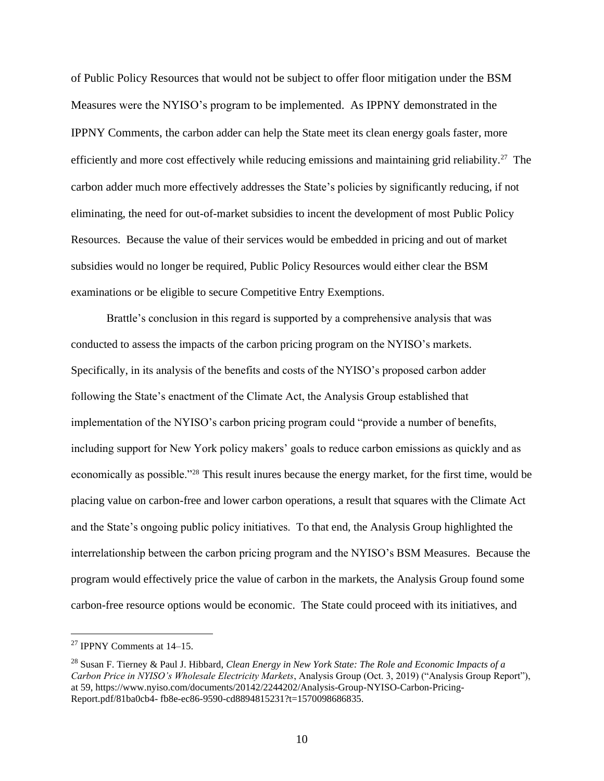of Public Policy Resources that would not be subject to offer floor mitigation under the BSM Measures were the NYISO's program to be implemented. As IPPNY demonstrated in the IPPNY Comments, the carbon adder can help the State meet its clean energy goals faster, more efficiently and more cost effectively while reducing emissions and maintaining grid reliability.<sup>27</sup> The carbon adder much more effectively addresses the State's policies by significantly reducing, if not eliminating, the need for out-of-market subsidies to incent the development of most Public Policy Resources. Because the value of their services would be embedded in pricing and out of market subsidies would no longer be required, Public Policy Resources would either clear the BSM examinations or be eligible to secure Competitive Entry Exemptions.

Brattle's conclusion in this regard is supported by a comprehensive analysis that was conducted to assess the impacts of the carbon pricing program on the NYISO's markets. Specifically, in its analysis of the benefits and costs of the NYISO's proposed carbon adder following the State's enactment of the Climate Act, the Analysis Group established that implementation of the NYISO's carbon pricing program could "provide a number of benefits, including support for New York policy makers' goals to reduce carbon emissions as quickly and as economically as possible."<sup>28</sup> This result inures because the energy market, for the first time, would be placing value on carbon-free and lower carbon operations, a result that squares with the Climate Act and the State's ongoing public policy initiatives. To that end, the Analysis Group highlighted the interrelationship between the carbon pricing program and the NYISO's BSM Measures. Because the program would effectively price the value of carbon in the markets, the Analysis Group found some carbon-free resource options would be economic. The State could proceed with its initiatives, and

<sup>27</sup> IPPNY Comments at 14–15.

<sup>28</sup> Susan F. Tierney & Paul J. Hibbard, *Clean Energy in New York State: The Role and Economic Impacts of a Carbon Price in NYISO's Wholesale Electricity Markets*, Analysis Group (Oct. 3, 2019) ("Analysis Group Report"), at 59, https://www.nyiso.com/documents/20142/2244202/Analysis-Group-NYISO-Carbon-Pricing-Report.pdf/81ba0cb4- fb8e-ec86-9590-cd8894815231?t=1570098686835.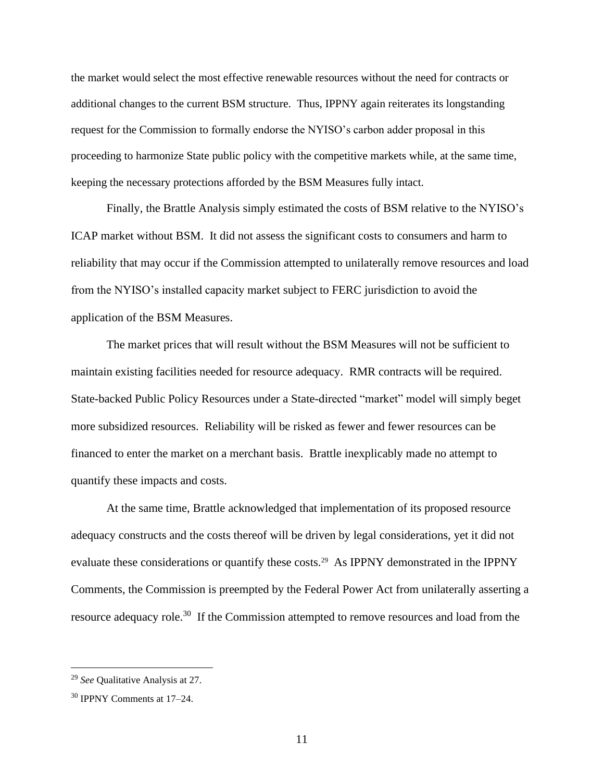the market would select the most effective renewable resources without the need for contracts or additional changes to the current BSM structure. Thus, IPPNY again reiterates its longstanding request for the Commission to formally endorse the NYISO's carbon adder proposal in this proceeding to harmonize State public policy with the competitive markets while, at the same time, keeping the necessary protections afforded by the BSM Measures fully intact.

Finally, the Brattle Analysis simply estimated the costs of BSM relative to the NYISO's ICAP market without BSM. It did not assess the significant costs to consumers and harm to reliability that may occur if the Commission attempted to unilaterally remove resources and load from the NYISO's installed capacity market subject to FERC jurisdiction to avoid the application of the BSM Measures.

The market prices that will result without the BSM Measures will not be sufficient to maintain existing facilities needed for resource adequacy. RMR contracts will be required. State-backed Public Policy Resources under a State-directed "market" model will simply beget more subsidized resources. Reliability will be risked as fewer and fewer resources can be financed to enter the market on a merchant basis. Brattle inexplicably made no attempt to quantify these impacts and costs.

At the same time, Brattle acknowledged that implementation of its proposed resource adequacy constructs and the costs thereof will be driven by legal considerations, yet it did not evaluate these considerations or quantify these costs.<sup>29</sup> As IPPNY demonstrated in the IPPNY Comments, the Commission is preempted by the Federal Power Act from unilaterally asserting a resource adequacy role.<sup>30</sup> If the Commission attempted to remove resources and load from the

<sup>29</sup> *See* Qualitative Analysis at 27.

<sup>30</sup> IPPNY Comments at 17–24.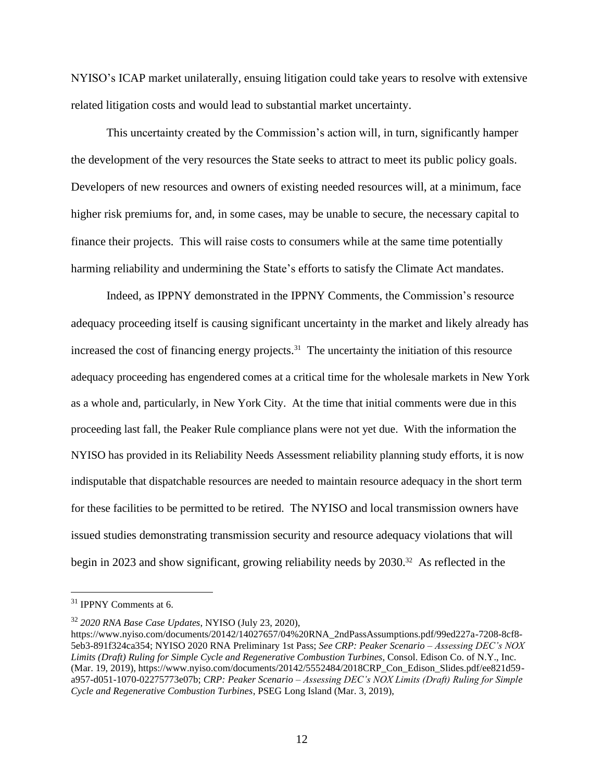NYISO's ICAP market unilaterally, ensuing litigation could take years to resolve with extensive related litigation costs and would lead to substantial market uncertainty.

This uncertainty created by the Commission's action will, in turn, significantly hamper the development of the very resources the State seeks to attract to meet its public policy goals. Developers of new resources and owners of existing needed resources will, at a minimum, face higher risk premiums for, and, in some cases, may be unable to secure, the necessary capital to finance their projects. This will raise costs to consumers while at the same time potentially harming reliability and undermining the State's efforts to satisfy the Climate Act mandates.

Indeed, as IPPNY demonstrated in the IPPNY Comments, the Commission's resource adequacy proceeding itself is causing significant uncertainty in the market and likely already has increased the cost of financing energy projects.<sup>31</sup> The uncertainty the initiation of this resource adequacy proceeding has engendered comes at a critical time for the wholesale markets in New York as a whole and, particularly, in New York City. At the time that initial comments were due in this proceeding last fall, the Peaker Rule compliance plans were not yet due. With the information the NYISO has provided in its Reliability Needs Assessment reliability planning study efforts, it is now indisputable that dispatchable resources are needed to maintain resource adequacy in the short term for these facilities to be permitted to be retired. The NYISO and local transmission owners have issued studies demonstrating transmission security and resource adequacy violations that will begin in 2023 and show significant, growing reliability needs by 2030.<sup>32</sup> As reflected in the

<sup>31</sup> IPPNY Comments at 6.

<sup>32</sup> *2020 RNA Base Case Updates*, NYISO (July 23, 2020),

https://www.nyiso.com/documents/20142/14027657/04%20RNA\_2ndPassAssumptions.pdf/99ed227a-7208-8cf8- 5eb3-891f324ca354; NYISO 2020 RNA Preliminary 1st Pass; *See CRP: Peaker Scenario – Assessing DEC's NOX Limits (Draft) Ruling for Simple Cycle and Regenerative Combustion Turbines*, Consol. Edison Co. of N.Y., Inc. (Mar. 19, 2019), https://www.nyiso.com/documents/20142/5552484/2018CRP\_Con\_Edison\_Slides.pdf/ee821d59 a957-d051-1070-02275773e07b; *CRP: Peaker Scenario – Assessing DEC's NOX Limits (Draft) Ruling for Simple Cycle and Regenerative Combustion Turbines*, PSEG Long Island (Mar. 3, 2019),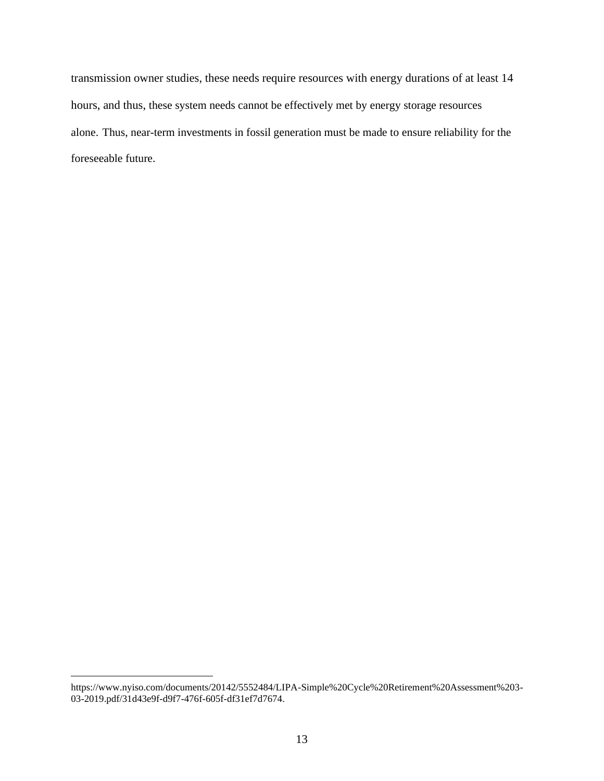transmission owner studies, these needs require resources with energy durations of at least 14 hours, and thus, these system needs cannot be effectively met by energy storage resources alone. Thus, near-term investments in fossil generation must be made to ensure reliability for the foreseeable future.

https://www.nyiso.com/documents/20142/5552484/LIPA-Simple%20Cycle%20Retirement%20Assessment%203- 03-2019.pdf/31d43e9f-d9f7-476f-605f-df31ef7d7674.